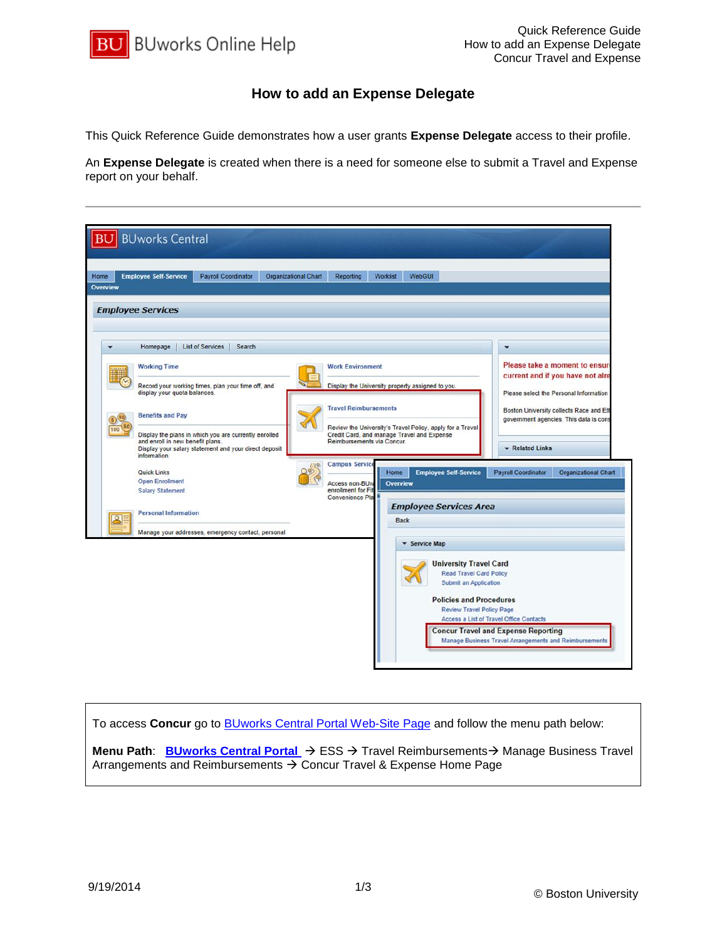

## **How to add an Expense Delegate**

This Quick Reference Guide demonstrates how a user grants **Expense Delegate** access to their profile.

An **Expense Delegate** is created when there is a need for someone else to submit a Travel and Expense report on your behalf.

| Overview     | <b>Employee Self-Service</b>                     | <b>Payroll Coordinator</b>                                                                                     | <b>Organizational Chart</b> | <b>Reporting</b>                                                                                                                                                      | <b>Worklist</b> | WebGUI               |                                                                                          |                                                                                   |                                                                            |                      |
|--------------|--------------------------------------------------|----------------------------------------------------------------------------------------------------------------|-----------------------------|-----------------------------------------------------------------------------------------------------------------------------------------------------------------------|-----------------|----------------------|------------------------------------------------------------------------------------------|-----------------------------------------------------------------------------------|----------------------------------------------------------------------------|----------------------|
|              | <b>Employee Services</b>                         |                                                                                                                |                             |                                                                                                                                                                       |                 |                      |                                                                                          |                                                                                   |                                                                            |                      |
| ۰            | Homepage                                         | <b>List of Services</b><br>Search                                                                              |                             |                                                                                                                                                                       |                 |                      |                                                                                          |                                                                                   | $\blacktriangledown$                                                       |                      |
|              | <b>Working Time</b>                              |                                                                                                                |                             | <b>Work Environment</b>                                                                                                                                               |                 |                      | Please take a moment to ensure                                                           |                                                                                   |                                                                            |                      |
|              | display your quota balances.                     | Record your working times, plan your time off, and                                                             |                             | Display the University property assigned to you.                                                                                                                      |                 |                      |                                                                                          |                                                                                   | current and if you have not alre<br>Please select the Personal Information |                      |
|              | <b>Benefits and Pay</b>                          |                                                                                                                |                             | <b>Travel Reimbursements</b><br>Review the University's Travel Policy, apply for a Travel<br>Credit Card, and manage Travel and Expense<br>Reimbursements via Concur. |                 |                      |                                                                                          | Boston University collects Race and Eth<br>government agencies. This data is cons |                                                                            |                      |
| 100          | and enroll in new benefit plans.<br>information. | Display the plans in which you are currently enrolled<br>Display your salary statement and your direct deposit |                             |                                                                                                                                                                       |                 |                      | Related Links                                                                            |                                                                                   |                                                                            |                      |
|              | Quick Links                                      |                                                                                                                |                             | <b>Campus Service</b>                                                                                                                                                 | Home            |                      | <b>Employee Self-Service</b>                                                             |                                                                                   | <b>Payroll Coordinator</b>                                                 | Organizational Chart |
|              | <b>Open Enrollment</b>                           |                                                                                                                |                             | Access non-BU <sub>W</sub>                                                                                                                                            | <b>Overview</b> |                      |                                                                                          |                                                                                   |                                                                            |                      |
|              | <b>Salary Statement</b>                          |                                                                                                                |                             | enrollment for Fi<br>Convenience Pla                                                                                                                                  |                 |                      |                                                                                          |                                                                                   |                                                                            |                      |
|              | <b>Personal Information</b>                      |                                                                                                                |                             | <b>Employee Services Area</b>                                                                                                                                         |                 |                      |                                                                                          |                                                                                   |                                                                            |                      |
| $\mathbf{S}$ |                                                  | Manage your addresses, emergency contact, personal                                                             |                             |                                                                                                                                                                       | <b>Back</b>     |                      |                                                                                          |                                                                                   |                                                                            |                      |
|              |                                                  |                                                                                                                |                             |                                                                                                                                                                       |                 | <b>v</b> Service Map |                                                                                          |                                                                                   |                                                                            |                      |
|              |                                                  |                                                                                                                |                             |                                                                                                                                                                       |                 |                      | <b>University Travel Card</b><br><b>Read Travel Card Policy</b><br>Submit an Application |                                                                                   |                                                                            |                      |
|              |                                                  |                                                                                                                |                             |                                                                                                                                                                       |                 |                      | <b>Policies and Procedures</b>                                                           |                                                                                   |                                                                            |                      |

To access **Concur** go to [BUworks Central Portal Web-Site Page](https://ppo.buw.bu.edu/) and follow the menu path below:

**Menu Path: [BUworks Central Portal](https://ppo.buw.bu.edu/)** → ESS → Travel Reimbursements → Manage Business Travel Arrangements and Reimbursements  $\rightarrow$  Concur Travel & Expense Home Page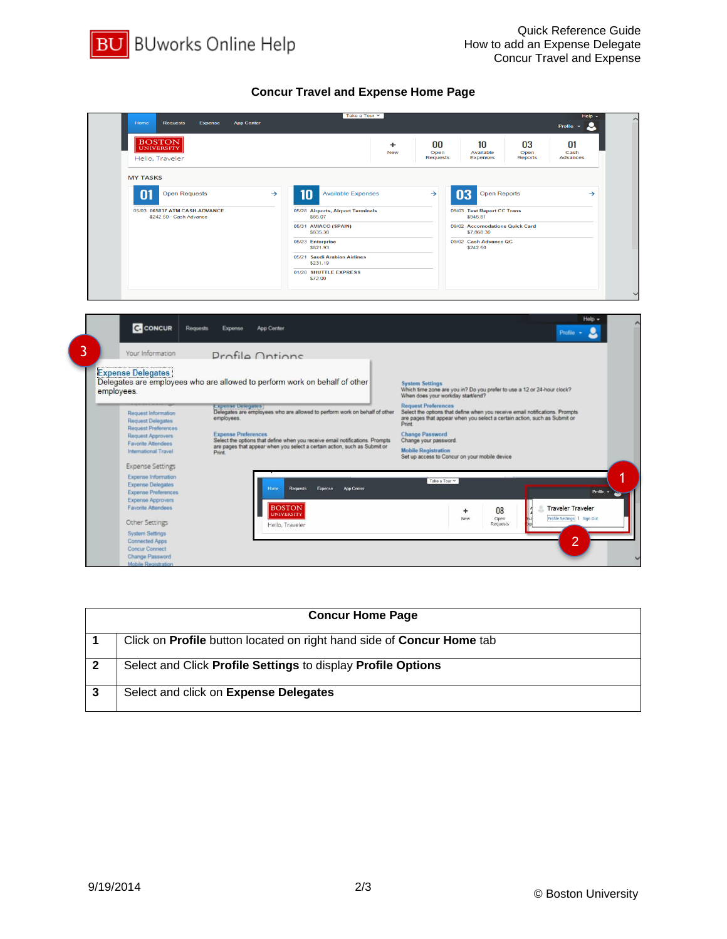

## **Concur Travel and Expense Home Page**



|   | <b>Concur Home Page</b>                                                             |
|---|-------------------------------------------------------------------------------------|
|   | Click on <b>Profile</b> button located on right hand side of <b>Concur Home</b> tab |
| 2 | Select and Click Profile Settings to display Profile Options                        |
| 3 | Select and click on Expense Delegates                                               |